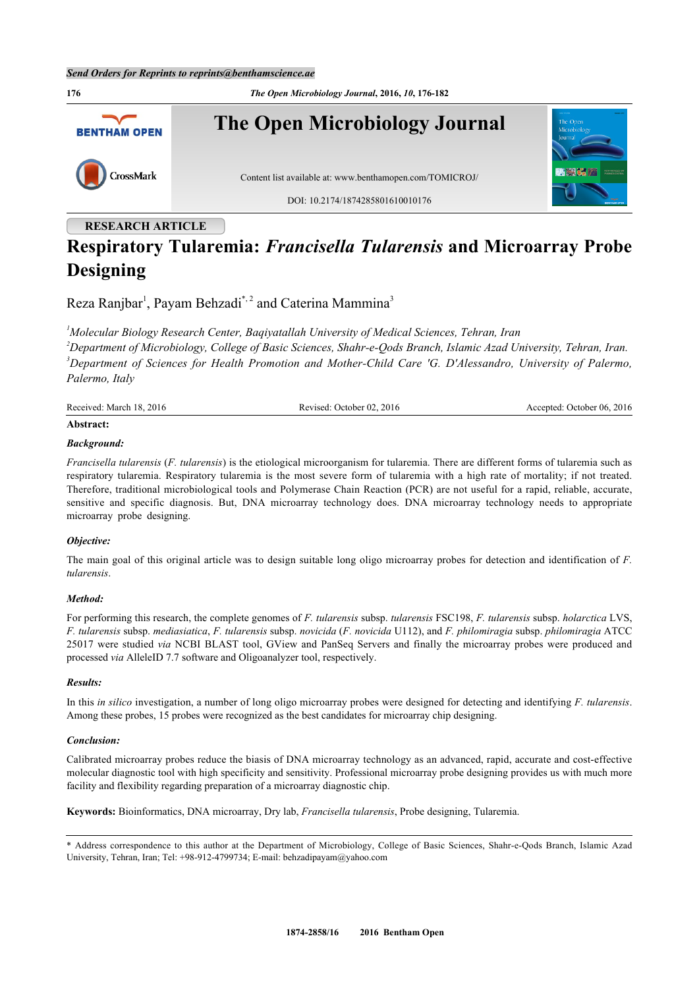

# **Respiratory Tularemia:** *Francisella Tularensis* **and Microarray Probe Designing**

Reza Ranjbar<sup>[1](#page-0-0)</sup>, Payam Behzadi<sup>[\\*](#page-0-1), [2](#page-0-2)</sup> and Caterina Mammina<sup>[3](#page-0-3)</sup>

<span id="page-0-3"></span><span id="page-0-2"></span><span id="page-0-0"></span>*Molecular Biology Research Center, Baqiyatallah University of Medical Sciences, Tehran, Iran Department of Microbiology, College of Basic Sciences, Shahr-e-Qods Branch, Islamic Azad University, Tehran, Iran. Department of Sciences for Health Promotion and Mother-Child Care 'G. D'Alessandro, University of Palermo, Palermo, Italy*

| Received: March 18, 2016 | Revised: October 02, 2016 | Accepted: October 06, 2016 |
|--------------------------|---------------------------|----------------------------|
|                          |                           |                            |

#### **Abstract:**

#### *Background:*

*Francisella tularensis* (*F. tularensis*) is the etiological microorganism for tularemia. There are different forms of tularemia such as respiratory tularemia. Respiratory tularemia is the most severe form of tularemia with a high rate of mortality; if not treated. Therefore, traditional microbiological tools and Polymerase Chain Reaction (PCR) are not useful for a rapid, reliable, accurate, sensitive and specific diagnosis. But, DNA microarray technology does. DNA microarray technology needs to appropriate microarray probe designing.

#### *Objective:*

The main goal of this original article was to design suitable long oligo microarray probes for detection and identification of *F. tularensis*.

#### *Method:*

For performing this research, the complete genomes of *F. tularensis* subsp. *tularensis* FSC198, *F. tularensis* subsp. *holarctica* LVS, *F. tularensis* subsp. *mediasiatica*, *F. tularensis* subsp. *novicida* (*F. novicida* U112), and *F. philomiragia* subsp. *philomiragia* ATCC 25017 were studied *via* NCBI BLAST tool, GView and PanSeq Servers and finally the microarray probes were produced and processed *via* AlleleID 7.7 software and Oligoanalyzer tool, respectively.

#### *Results:*

In this *in silico* investigation, a number of long oligo microarray probes were designed for detecting and identifying *F. tularensis*. Among these probes, 15 probes were recognized as the best candidates for microarray chip designing.

#### *Conclusion:*

Calibrated microarray probes reduce the biasis of DNA microarray technology as an advanced, rapid, accurate and cost-effective molecular diagnostic tool with high specificity and sensitivity. Professional microarray probe designing provides us with much more facility and flexibility regarding preparation of a microarray diagnostic chip.

**Keywords:** Bioinformatics, DNA microarray, Dry lab, *Francisella tularensis*, Probe designing, Tularemia.

<span id="page-0-1"></span><sup>\*</sup> Address correspondence to this author at the Depar[tment of Microbiology, Co](mailto:behzadipayam@yahoo.com)llege of Basic Sciences, Shahr-e-Qods Branch, Islamic Azad University, Tehran, Iran; Tel: +98-912-4799734; E-mail: behzadipayam@yahoo.com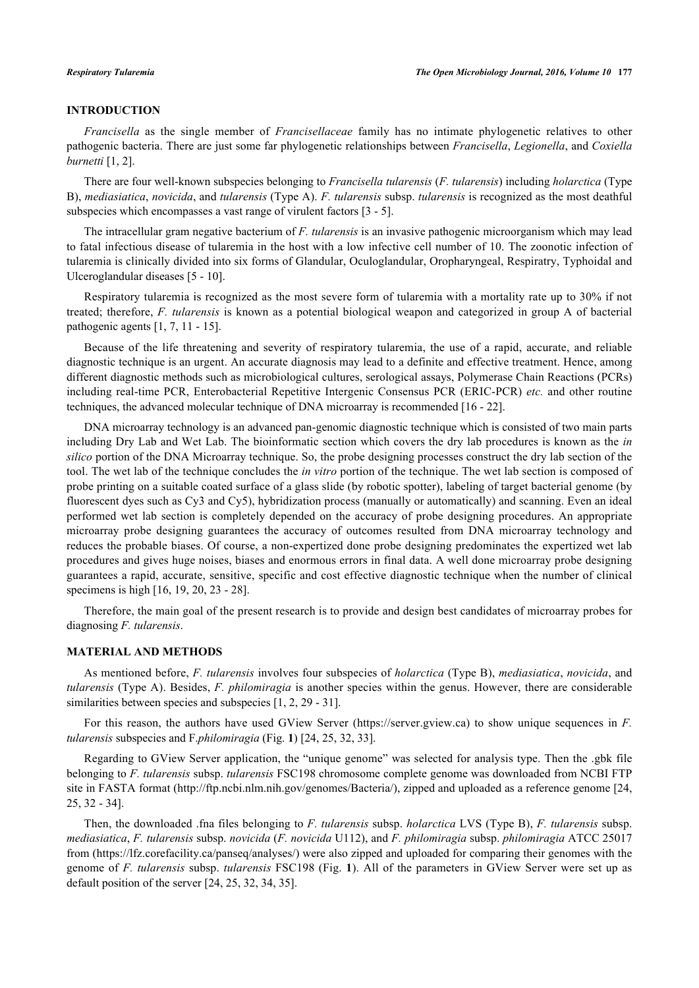# **INTRODUCTION**

*Francisella* as the single member of *Francisellaceae* family has no intimate phylogenetic relatives to other pathogenic bacteria. There are just some far phylogenetic relationships between *Francisella*, *Legionella*, and *Coxiella burnetti* [\[1](#page-4-0), [2](#page-4-1)].

There are four well-known subspecies belonging to *Francisella tularensis* (*F. tularensis*) including *holarctica* (Type B), *mediasiatica*, *novicida*, and *tularensis* (Type A). *F. tularensis* subsp. *tularensis* is recognized as the most deathful subspecies which encompasses a vast range of virulent factors [\[3](#page-4-2) - [5\]](#page-4-3).

The intracellular gram negative bacterium of *F. tularensis* is an invasive pathogenic microorganism which may lead to fatal infectious disease of tularemia in the host with a low infective cell number of 10. The zoonotic infection of tularemia is clinically divided into six forms of Glandular, Oculoglandular, Oropharyngeal, Respiratry, Typhoidal and Ulceroglandular diseases [[5](#page-4-3) - [10](#page-5-0)].

Respiratory tularemia is recognized as the most severe form of tularemia with a mortality rate up to 30% if not treated; therefore, *F. tularensis* is known as a potential biological weapon and categorized in group A of bacterial pathogenic agents [\[1](#page-4-0), [7](#page-5-1), [11](#page-5-2) - [15\]](#page-5-3).

Because of the life threatening and severity of respiratory tularemia, the use of a rapid, accurate, and reliable diagnostic technique is an urgent. An accurate diagnosis may lead to a definite and effective treatment. Hence, among different diagnostic methods such as microbiological cultures, serological assays, Polymerase Chain Reactions (PCRs) including real-time PCR, Enterobacterial Repetitive Intergenic Consensus PCR (ERIC-PCR) *etc.* and other routine techniques, the advanced molecular technique of DNA microarray is recommended [\[16](#page-5-4) - [22\]](#page-5-5).

DNA microarray technology is an advanced pan-genomic diagnostic technique which is consisted of two main parts including Dry Lab and Wet Lab. The bioinformatic section which covers the dry lab procedures is known as the *in silico* portion of the DNA Microarray technique. So, the probe designing processes construct the dry lab section of the tool. The wet lab of the technique concludes the *in vitro* portion of the technique. The wet lab section is composed of probe printing on a suitable coated surface of a glass slide (by robotic spotter), labeling of target bacterial genome (by fluorescent dyes such as Cy3 and Cy5), hybridization process (manually or automatically) and scanning. Even an ideal performed wet lab section is completely depended on the accuracy of probe designing procedures. An appropriate microarray probe designing guarantees the accuracy of outcomes resulted from DNA microarray technology and reduces the probable biases. Of course, a non-expertized done probe designing predominates the expertized wet lab procedures and gives huge noises, biases and enormous errors in final data. A well done microarray probe designing guarantees a rapid, accurate, sensitive, specific and cost effective diagnostic technique when the number of clinical specimens is high [[16,](#page-5-4) [19,](#page-5-6) [20,](#page-5-7) [23](#page-5-8) - [28\]](#page-5-9).

Therefore, the main goal of the present research is to provide and design best candidates of microarray probes for diagnosing *F. tularensis*.

#### **MATERIAL AND METHODS**

As mentioned before, *F. tularensis* involves four subspecies of *holarctica* (Type B), *mediasiatica*, *novicida*, and *tularensis* (Type A). Besides, *F. philomiragia* is another species within the genus. However, there are considerable similarities between species and subspecies  $[1, 2, 29 - 31]$  $[1, 2, 29 - 31]$  $[1, 2, 29 - 31]$  $[1, 2, 29 - 31]$  $[1, 2, 29 - 31]$  $[1, 2, 29 - 31]$  $[1, 2, 29 - 31]$ .

For this reason, the authors have used GView Server [\(https://server.gview.ca](https://server.gview.ca)) to show unique sequences in *F. tularensis* subspecies and F.*philomiragia* (Fig. **[1](#page-2-0)**) [\[24](#page-5-12), [25](#page-5-13), [32](#page-6-0), [33](#page-6-1)].

Regarding to GView Server application, the "unique genome" was selected for analysis type. Then the .gbk file belonging to *F. tularensis* subsp. *tularensis* FSC198 chromosome complete genome was downloaded from NCBI FTP site in FASTA format [\(http://ftp.ncbi.nlm.nih.gov/genomes/Bacteria/](http://ftp.ncbi.nlm.nih.gov/genomes/Bacteria/)), zipped and uploaded as a reference genome [\[24](#page-5-12), [25,](#page-5-13) [32](#page-6-0) - [34](#page-6-2)].

Then, the downloaded .fna files belonging to *F. tularensis* subsp. *holarctica* LVS (Type B), *F. tularensis* subsp. *mediasiatica*, *F. tularensis* subsp. *novicida* (*F. novicida* U112), and *F. philomiragia* subsp. *philomiragia* ATCC 25017 from [\(https://lfz.corefacility.ca/panseq/analyses/\)](https://lfz.corefacility.ca/panseq/analyses/) were also zipped and uploaded for comparing their genomes with the genome of *F. tularensis* subsp. *tularensis* FSC198 (Fig. **[1](#page-2-0)**). All of the parameters in GView Server were set up as default position of the server [[24,](#page-5-12) [25,](#page-5-13) [32,](#page-6-0) [34,](#page-6-2) [35\]](#page-6-3).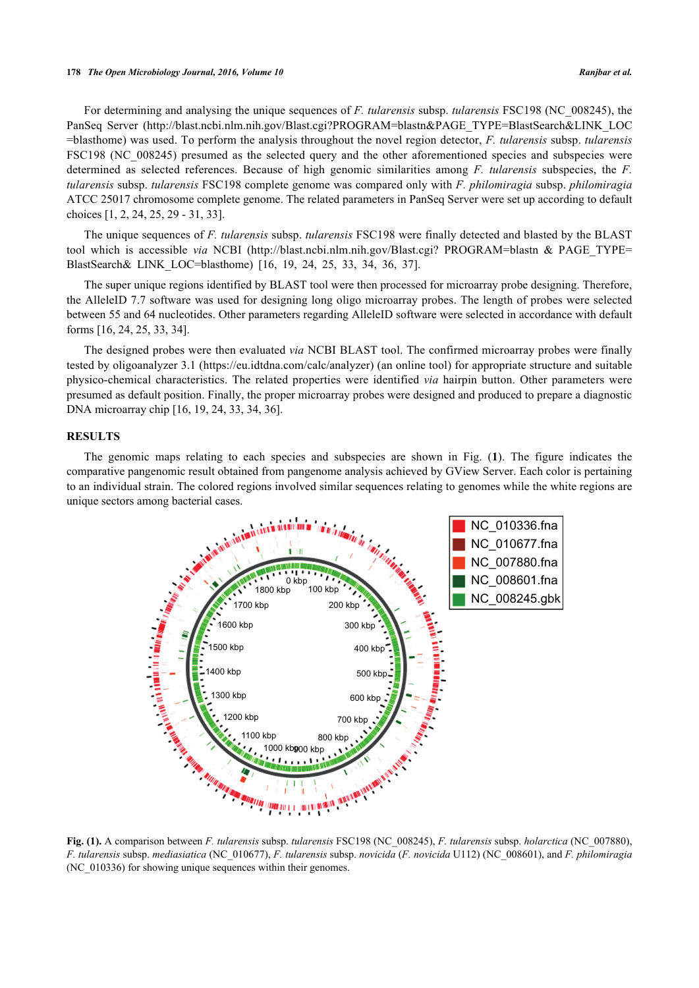For determining and analysing the unique sequences of *F. tularensis* subsp. *tularensis* FSC198 (NC\_008245), the PanSeq Server [\(http://blast.ncbi.nlm.nih.gov/Blast.cgi?PROGRAM=blastn&PAGE\\_TYPE=BlastSearch&LINK\\_LOC](http://blast.ncbi.nlm.nih.gov/%20Blast.cgi?PROGRAM=blastn&PAGE_%20TYPE=BlastSearch&LINK_LOC=blasthome) [=blasthome](http://blast.ncbi.nlm.nih.gov/%20Blast.cgi?PROGRAM=blastn&PAGE_%20TYPE=BlastSearch&LINK_LOC=blasthome)) was used. To perform the analysis throughout the novel region detector, *F. tularensis* subsp. *tularensis* FSC198 (NC\_008245) presumed as the selected query and the other aforementioned species and subspecies were determined as selected references. Because of high genomic similarities among *F. tularensis* subspecies, the *F. tularensis* subsp. *tularensis* FSC198 complete genome was compared only with *F. philomiragia* subsp. *philomiragia* ATCC 25017 chromosome complete genome. The related parameters in PanSeq Server were set up according to default choices [[1,](#page-4-0) [2,](#page-4-1) [24,](#page-5-12) [25,](#page-5-13) [29](#page-5-10) - [31,](#page-5-11) [33\]](#page-6-1).

The unique sequences of *F. tularensis* subsp. *tularensis* FSC198 were finally detected and blasted by the BLAST toolwhich is accessible *via* NCBI (http://blast.ncbi.nlm.nih.gov/Blast.cgi? PROGRAM=blastn & PAGE TYPE= [BlastSearch& LINK\\_LOC=blasthome](http://blast.ncbi.nlm.nih.gov/Blast.cgi?PROGRAM=blastn&PAGE_TYPE=BlastSearch&LINK_LOC=blasthome))[[16,](#page-5-4) [19,](#page-5-6) [24,](#page-5-12) [25,](#page-5-13) [33,](#page-6-1) [34,](#page-6-2) [36,](#page-6-4) [37\]](#page-6-5).

The super unique regions identified by BLAST tool were then processed for microarray probe designing. Therefore, the AlleleID 7.7 software was used for designing long oligo microarray probes. The length of probes were selected between 55 and 64 nucleotides. Other parameters regarding AlleleID software were selected in accordance with default forms [[16,](#page-5-4) [24,](#page-5-12) [25,](#page-5-13) [33,](#page-6-1) [34\]](#page-6-2).

The designed probes were then evaluated *via* NCBI BLAST tool. The confirmed microarray probes were finally tested by oligoanalyzer 3.1 [\(https://eu.idtdna.com/calc/analyzer](https://eu.idtdna.com/calc/analyzer)) (an online tool) for appropriate structure and suitable physico-chemical characteristics. The related properties were identified *via* hairpin button. Other parameters were presumed as default position. Finally, the proper microarray probes were designed and produced to prepare a diagnostic DNA microarray chip [\[16](#page-5-4), [19](#page-5-6), [24](#page-5-12), [33](#page-6-1), [34](#page-6-2), [36](#page-6-4)].

#### **RESULTS**

<span id="page-2-0"></span>The genomic maps relating to each species and subspecies are shown in Fig. (**[1](#page-2-0)**). The figure indicates the comparative pangenomic result obtained from pangenome analysis achieved by GView Server. Each color is pertaining to an individual strain. The colored regions involved similar sequences relating to genomes while the white regions are unique sectors among bacterial cases.



**Fig. (1).** A comparison between *F. tularensis* subsp. *tularensis* FSC198 (NC\_008245), *F. tularensis* subsp. *holarctica* (NC\_007880), *F. tularensis* subsp. *mediasiatica* (NC\_010677), *F. tularensis* subsp. *novicida* (*F. novicida* U112) (NC\_008601), and *F. philomiragia* (NC\_010336) for showing unique sequences within their genomes.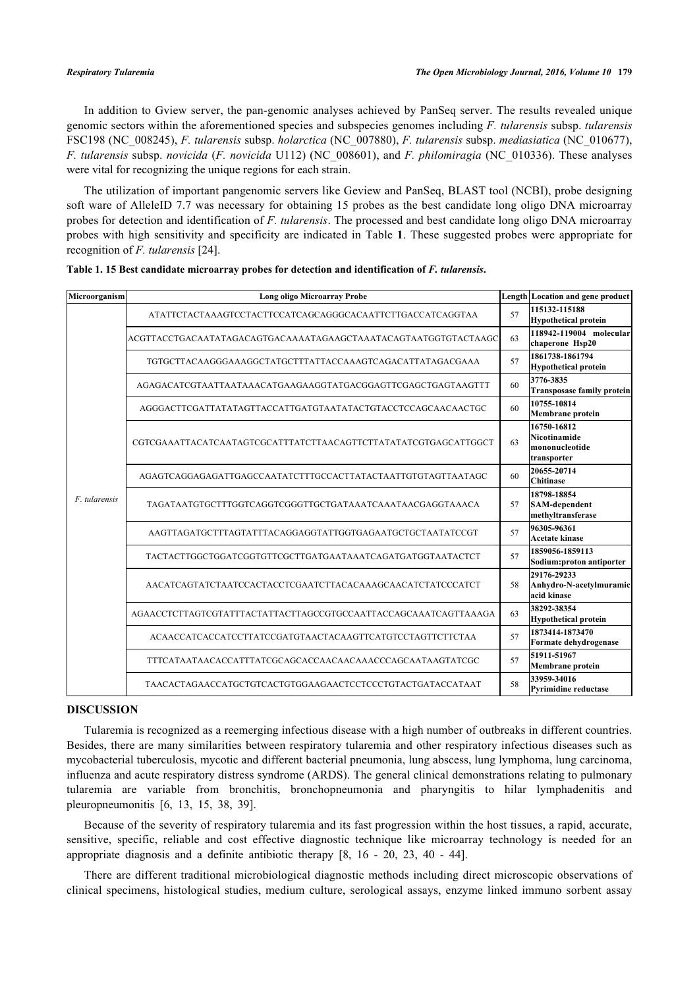In addition to Gview server, the pan-genomic analyses achieved by PanSeq server. The results revealed unique genomic sectors within the aforementioned species and subspecies genomes including *F. tularensis* subsp. *tularensis* FSC198 (NC\_008245), *F. tularensis* subsp. *holarctica* (NC\_007880), *F. tularensis* subsp. *mediasiatica* (NC\_010677), *F. tularensis* subsp. *novicida* (*F. novicida* U112) (NC\_008601), and *F. philomiragia* (NC\_010336). These analyses were vital for recognizing the unique regions for each strain.

The utilization of important pangenomic servers like Geview and PanSeq, BLAST tool (NCBI), probe designing soft ware of AlleleID 7.7 was necessary for obtaining 15 probes as the best candidate long oligo DNA microarray probes for detection and identification of *F. tularensis*. The processed and best candidate long oligo DNA microarray probes with high sensitivity and specificity are indicated in Table **[1](#page-3-0)**. These suggested probes were appropriate for recognition of *F. tularensis* [[24\]](#page-5-12).

| Microorganism | <b>Long oligo Microarray Probe</b>                              |    | Length Location and gene product                             |  |
|---------------|-----------------------------------------------------------------|----|--------------------------------------------------------------|--|
| F. tularensis | ATATTCTACTAAAGTCCTACTTCCATCAGCAGGGCACAATTCTTGACCATCAGGTAA       | 57 | 115132-115188<br><b>Hypothetical protein</b>                 |  |
|               | ACGTTACCTGACAATATAGACAGTGACAAAATAGAAGCTAAATACAGTAATGGTGTACTAAGC | 63 | 118942-119004 molecular<br>chaperone Hsp20                   |  |
|               | TGTGCTTACAAGGGAAAGGCTATGCTTTATTACCAAAGTCAGACATTATAGACGAAA       | 57 | 1861738-1861794<br><b>Hypothetical protein</b>               |  |
|               | AGAGACATCGTAATTAATAAACATGAAGAAGGTATGACGGAGTTCGAGCTGAGTAAGTTT    |    | 3776-3835<br><b>Transposase family protein</b>               |  |
|               | AGGGACTTCGATTATATAGTTACCATTGATGTAATATACTGTACCTCCAGCAACAACTGC    | 60 | 10755-10814<br>Membrane protein                              |  |
|               | CGTCGAAATTACATCAATAGTCGCATTTATCTTAACAGTTCTTATATATCGTGAGCATTGGCT |    | 16750-16812<br>Nicotinamide<br>mononucleotide<br>transporter |  |
|               | AGAGTCAGGAGAGATTGAGCCAATATCTTTGCCACTTATACTAATTGTGTAGTTAATAGC    |    | 20655-20714<br><b>Chitinase</b>                              |  |
|               | TAGATAATGTGCTTTGGTCAGGTCGGGTTGCTGATAAATCAAATAACGAGGTAAACA       | 57 | 18798-18854<br>SAM-dependent<br>methyltransferase            |  |
|               | AAGTTAGATGCTTTAGTATTTACAGGAGGTATTGGTGAGAATGCTGCTAATATCCGT       | 57 | 96305-96361<br><b>Acetate kinase</b>                         |  |
|               | TACTACTTGGCTGGATCGGTGTTCGCTTGATGAATAAATCAGATGATGGTAATACTCT      | 57 | 1859056-1859113<br>Sodium: proton antiporter                 |  |
|               | AACATCAGTATCTAATCCACTACCTCGAATCTTACACAAAGCAACATCTATCCCATCT      | 58 | 29176-29233<br>Anhydro-N-acetylmuramic<br>acid kinase        |  |
|               | AGAACCTCTTAGTCGTATTTACTATTACTTAGCCGTGCCAATTACCAGCAAATCAGTTAAAGA |    | 38292-38354<br><b>Hypothetical protein</b>                   |  |
|               | ACAACCATCACCATCCTTATCCGATGTAACTACAAGTTCATGTCCTAGTTCTTCTAA       | 57 | 1873414-1873470<br>Formate dehydrogenase                     |  |
|               | TTTCATAATAACACCATTTATCGCAGCACCAACAACAAACCCAGCAATAAGTATCGC       | 57 | 51911-51967<br>Membrane protein                              |  |
|               | TAACACTAGAACCATGCTGTCACTGTGGAAGAACTCCTCCCTGTACTGATACCATAAT      | 58 | 33959-34016<br><b>Pyrimidine reductase</b>                   |  |

<span id="page-3-0"></span>

|  |  | Table 1. 15 Best candidate microarray probes for detection and identification of F. tularensis. |  |  |  |  |  |  |  |
|--|--|-------------------------------------------------------------------------------------------------|--|--|--|--|--|--|--|
|--|--|-------------------------------------------------------------------------------------------------|--|--|--|--|--|--|--|

#### **DISCUSSION**

Tularemia is recognized as a reemerging infectious disease with a high number of outbreaks in different countries. Besides, there are many similarities between respiratory tularemia and other respiratory infectious diseases such as mycobacterial tuberculosis, mycotic and different bacterial pneumonia, lung abscess, lung lymphoma, lung carcinoma, influenza and acute respiratory distress syndrome (ARDS). The general clinical demonstrations relating to pulmonary tularemia are variable from bronchitis, bronchopneumonia and pharyngitis to hilar lymphadenitis and pleuropneumonitis[[6,](#page-5-14) [13,](#page-5-15) [15,](#page-5-3) [38,](#page-6-6) [39\]](#page-6-7).

Because of the severity of respiratory tularemia and its fast progression within the host tissues, a rapid, accurate, sensitive, specific, reliable and cost effective diagnostic technique like microarray technology is needed for an appropriate diagnosis and a definite antibiotic therapy [\[8](#page-5-16), [16](#page-5-4) - [20](#page-5-7), [23](#page-5-8), [40](#page-6-8) - [44\]](#page-6-9).

There are different traditional microbiological diagnostic methods including direct microscopic observations of clinical specimens, histological studies, medium culture, serological assays, enzyme linked immuno sorbent assay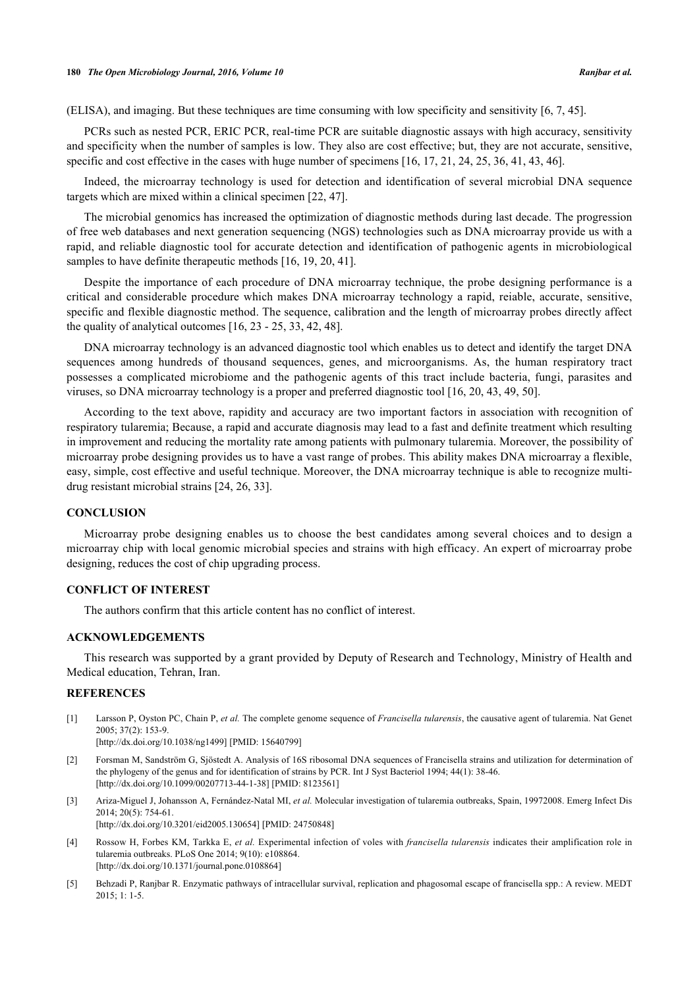#### **180** *The Open Microbiology Journal, 2016, Volume 10 Ranjbar et al.*

(ELISA), and imaging. But these techniques are time consuming with low specificity and sensitivity [[6,](#page-5-14) [7,](#page-5-1) [45\]](#page-6-10).

PCRs such as nested PCR, ERIC PCR, real-time PCR are suitable diagnostic assays with high accuracy, sensitivity and specificity when the number of samples is low. They also are cost effective; but, they are not accurate, sensitive, specific and cost effective in the cases with huge number of specimens [[16,](#page-5-4) [17,](#page-5-17) [21,](#page-5-18) [24,](#page-5-12) [25,](#page-5-13) [36,](#page-6-4) [41,](#page-6-11) [43,](#page-6-12) [46\]](#page-6-13).

Indeed, the microarray technology is used for detection and identification of several microbial DNA sequence targets which are mixed within a clinical specimen [[22,](#page-5-5) [47\]](#page-6-14).

The microbial genomics has increased the optimization of diagnostic methods during last decade. The progression of free web databases and next generation sequencing (NGS) technologies such as DNA microarray provide us with a rapid, and reliable diagnostic tool for accurate detection and identification of pathogenic agents in microbiological samples to have definite therapeutic methods [[16,](#page-5-4) [19,](#page-5-6) [20,](#page-5-7) [41\]](#page-6-11).

Despite the importance of each procedure of DNA microarray technique, the probe designing performance is a critical and considerable procedure which makes DNA microarray technology a rapid, reiable, accurate, sensitive, specific and flexible diagnostic method. The sequence, calibration and the length of microarray probes directly affect the quality of analytical outcomes [\[16](#page-5-4), [23](#page-5-8) - [25](#page-5-13), [33](#page-6-1), [42](#page-6-15), [48](#page-6-16)].

DNA microarray technology is an advanced diagnostic tool which enables us to detect and identify the target DNA sequences among hundreds of thousand sequences, genes, and microorganisms. As, the human respiratory tract possesses a complicated microbiome and the pathogenic agents of this tract include bacteria, fungi, parasites and viruses, so DNA microarray technology is a proper and preferred diagnostic tool [[16,](#page-5-4) [20,](#page-5-7) [43,](#page-6-12) [49,](#page-6-17) [50\]](#page-6-18).

According to the text above, rapidity and accuracy are two important factors in association with recognition of respiratory tularemia; Because, a rapid and accurate diagnosis may lead to a fast and definite treatment which resulting in improvement and reducing the mortality rate among patients with pulmonary tularemia. Moreover, the possibility of microarray probe designing provides us to have a vast range of probes. This ability makes DNA microarray a flexible, easy, simple, cost effective and useful technique. Moreover, the DNA microarray technique is able to recognize multidrug resistant microbial strains [\[24](#page-5-12), [26](#page-5-19), [33](#page-6-1)].

### **CONCLUSION**

Microarray probe designing enables us to choose the best candidates among several choices and to design a microarray chip with local genomic microbial species and strains with high efficacy. An expert of microarray probe designing, reduces the cost of chip upgrading process.

## **CONFLICT OF INTEREST**

The authors confirm that this article content has no conflict of interest.

### **ACKNOWLEDGEMENTS**

This research was supported by a grant provided by Deputy of Research and Technology, Ministry of Health and Medical education, Tehran, Iran.

### **REFERENCES**

<span id="page-4-0"></span>[1] Larsson P, Oyston PC, Chain P, *et al.* The complete genome sequence of *Francisella tularensis*, the causative agent of tularemia. Nat Genet 2005; 37(2): 153-9.

[\[http://dx.doi.org/10.1038/ng1499\]](http://dx.doi.org/10.1038/ng1499) [PMID: [15640799](http://www.ncbi.nlm.nih.gov/pubmed/15640799)]

- <span id="page-4-1"></span>[2] Forsman M, Sandström G, Sjöstedt A. Analysis of 16S ribosomal DNA sequences of Francisella strains and utilization for determination of the phylogeny of the genus and for identification of strains by PCR. Int J Syst Bacteriol 1994; 44(1): 38-46. [\[http://dx.doi.org/10.1099/00207713-44-1-38\]](http://dx.doi.org/10.1099/00207713-44-1-38) [PMID: [8123561](http://www.ncbi.nlm.nih.gov/pubmed/8123561)]
- <span id="page-4-2"></span>[3] Ariza-Miguel J, Johansson A, Fernández-Natal MI, *et al.* Molecular investigation of tularemia outbreaks, Spain, 19972008. Emerg Infect Dis 2014; 20(5): 754-61.
	- [\[http://dx.doi.org/10.3201/eid2005.130654\]](http://dx.doi.org/10.3201/eid2005.130654) [PMID: [24750848](http://www.ncbi.nlm.nih.gov/pubmed/24750848)]
- [4] Rossow H, Forbes KM, Tarkka E, *et al.* Experimental infection of voles with *francisella tularensis* indicates their amplification role in tularemia outbreaks. PLoS One 2014; 9(10): e108864. [\[http://dx.doi.org/10.1371/journal.pone.0108864](http://dx.doi.org/10.1371/journal.pone.0108864)]
- <span id="page-4-3"></span>[5] Behzadi P, Ranjbar R. Enzymatic pathways of intracellular survival, replication and phagosomal escape of francisella spp.: A review. MEDT 2015; 1: 1-5.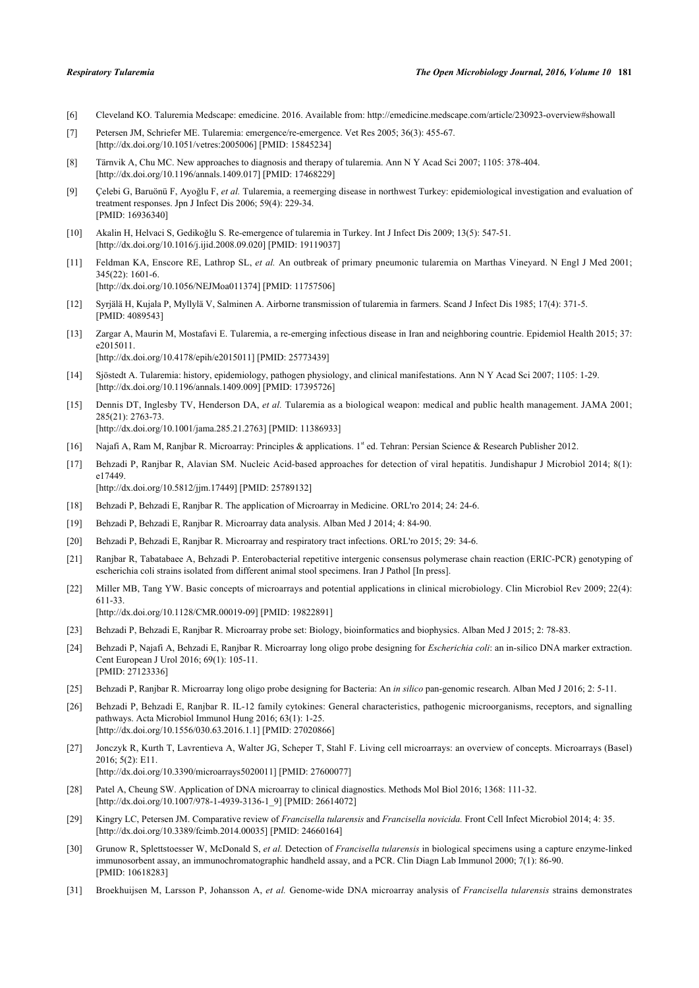- <span id="page-5-14"></span>[6] Cleveland KO. Taluremia Medscape: emedicine. 2016. Available from: <http://emedicine.medscape.com/article/230923-overview#showall>
- <span id="page-5-1"></span>[7] Petersen JM, Schriefer ME. Tularemia: emergence/re-emergence. Vet Res 2005; 36(3): 455-67. [\[http://dx.doi.org/10.1051/vetres:2005006](http://dx.doi.org/10.1051/vetres:2005006)] [PMID: [15845234\]](http://www.ncbi.nlm.nih.gov/pubmed/15845234)
- <span id="page-5-16"></span>[8] Tärnvik A, Chu MC. New approaches to diagnosis and therapy of tularemia. Ann N Y Acad Sci 2007; 1105: 378-404. [\[http://dx.doi.org/10.1196/annals.1409.017](http://dx.doi.org/10.1196/annals.1409.017)] [PMID: [17468229\]](http://www.ncbi.nlm.nih.gov/pubmed/17468229)
- [9] Çelebi G, Baruönü F, Ayoğlu F, *et al.* Tularemia, a reemerging disease in northwest Turkey: epidemiological investigation and evaluation of treatment responses. Jpn J Infect Dis 2006; 59(4): 229-34. [PMID: [16936340\]](http://www.ncbi.nlm.nih.gov/pubmed/16936340)
- <span id="page-5-0"></span>[10] Akalin H, Helvaci S, Gedikoğlu S. Re-emergence of tularemia in Turkey. Int J Infect Dis 2009; 13(5): 547-51. [\[http://dx.doi.org/10.1016/j.ijid.2008.09.020\]](http://dx.doi.org/10.1016/j.ijid.2008.09.020) [PMID: [19119037](http://www.ncbi.nlm.nih.gov/pubmed/19119037)]
- <span id="page-5-2"></span>[11] Feldman KA, Enscore RE, Lathrop SL, *et al.* An outbreak of primary pneumonic tularemia on Marthas Vineyard. N Engl J Med 2001; 345(22): 1601-6. [\[http://dx.doi.org/10.1056/NEJMoa011374](http://dx.doi.org/10.1056/NEJMoa011374)] [PMID: [11757506\]](http://www.ncbi.nlm.nih.gov/pubmed/11757506)
- [12] Syrjälä H, Kujala P, Myllylä V, Salminen A. Airborne transmission of tularemia in farmers. Scand J Infect Dis 1985; 17(4): 371-5. [PMID: [4089543\]](http://www.ncbi.nlm.nih.gov/pubmed/4089543)
- <span id="page-5-15"></span>[13] Zargar A, Maurin M, Mostafavi E. Tularemia, a re-emerging infectious disease in Iran and neighboring countrie. Epidemiol Health 2015; 37: e2015011. [\[http://dx.doi.org/10.4178/epih/e2015011](http://dx.doi.org/10.4178/epih/e2015011)] [PMID: [25773439\]](http://www.ncbi.nlm.nih.gov/pubmed/25773439)
- [14] Sjöstedt A. Tularemia: history, epidemiology, pathogen physiology, and clinical manifestations. Ann N Y Acad Sci 2007; 1105: 1-29. [\[http://dx.doi.org/10.1196/annals.1409.009](http://dx.doi.org/10.1196/annals.1409.009)] [PMID: [17395726\]](http://www.ncbi.nlm.nih.gov/pubmed/17395726)
- <span id="page-5-3"></span>[15] Dennis DT, Inglesby TV, Henderson DA, *et al.* Tularemia as a biological weapon: medical and public health management. JAMA 2001; 285(21): 2763-73. [\[http://dx.doi.org/10.1001/jama.285.21.2763](http://dx.doi.org/10.1001/jama.285.21.2763)] [PMID: [11386933\]](http://www.ncbi.nlm.nih.gov/pubmed/11386933)
- <span id="page-5-4"></span>[16] Najafi A, Ram M, Ranjbar R. Microarray: Principles & applications. 1<sup>st</sup> ed. Tehran: Persian Science & Research Publisher 2012.
- <span id="page-5-17"></span>[17] Behzadi P, Ranjbar R, Alavian SM. Nucleic Acid-based approaches for detection of viral hepatitis. Jundishapur J Microbiol 2014; 8(1): e17449. [\[http://dx.doi.org/10.5812/jjm.17449](http://dx.doi.org/10.5812/jjm.17449)] [PMID: [25789132](http://www.ncbi.nlm.nih.gov/pubmed/25789132)]
- [18] Behzadi P, Behzadi E, Ranjbar R. The application of Microarray in Medicine. ORL'ro 2014; 24: 24-6.
- <span id="page-5-6"></span>[19] Behzadi P, Behzadi E, Ranjbar R. Microarray data analysis. Alban Med J 2014; 4: 84-90.
- <span id="page-5-7"></span>[20] Behzadi P, Behzadi E, Ranjbar R. Microarray and respiratory tract infections. ORL'ro 2015; 29: 34-6.
- <span id="page-5-18"></span>[21] Ranjbar R, Tabatabaee A, Behzadi P. Enterobacterial repetitive intergenic consensus polymerase chain reaction (ERIC-PCR) genotyping of escherichia coli strains isolated from different animal stool specimens. Iran J Pathol [In press].
- <span id="page-5-5"></span>[22] Miller MB, Tang YW. Basic concepts of microarrays and potential applications in clinical microbiology. Clin Microbiol Rev 2009; 22(4): 611-33. [\[http://dx.doi.org/10.1128/CMR.00019-09](http://dx.doi.org/10.1128/CMR.00019-09)] [PMID: [19822891\]](http://www.ncbi.nlm.nih.gov/pubmed/19822891)
- <span id="page-5-8"></span>[23] Behzadi P, Behzadi E, Ranjbar R. Microarray probe set: Biology, bioinformatics and biophysics. Alban Med J 2015; 2: 78-83.
- <span id="page-5-12"></span>[24] Behzadi P, Najafi A, Behzadi E, Ranjbar R. Microarray long oligo probe designing for *Escherichia coli*: an in-silico DNA marker extraction. Cent European J Urol 2016; 69(1): 105-11. [PMID: [27123336\]](http://www.ncbi.nlm.nih.gov/pubmed/27123336)
- <span id="page-5-13"></span>[25] Behzadi P, Ranjbar R. Microarray long oligo probe designing for Bacteria: An *in silico* pan-genomic research. Alban Med J 2016; 2: 5-11.
- <span id="page-5-19"></span>[26] Behzadi P, Behzadi E, Ranjbar R. IL-12 family cytokines: General characteristics, pathogenic microorganisms, receptors, and signalling pathways. Acta Microbiol Immunol Hung 2016; 63(1): 1-25. [\[http://dx.doi.org/10.1556/030.63.2016.1.1\]](http://dx.doi.org/10.1556/030.63.2016.1.1) [PMID: [27020866](http://www.ncbi.nlm.nih.gov/pubmed/27020866)]
- [27] Jonczyk R, Kurth T, Lavrentieva A, Walter JG, Scheper T, Stahl F. Living cell microarrays: an overview of concepts. Microarrays (Basel) 2016; 5(2): E11. [\[http://dx.doi.org/10.3390/microarrays5020011](http://dx.doi.org/10.3390/microarrays5020011)] [PMID: [27600077\]](http://www.ncbi.nlm.nih.gov/pubmed/27600077)
- <span id="page-5-9"></span>[28] Patel A, Cheung SW. Application of DNA microarray to clinical diagnostics. Methods Mol Biol 2016; 1368: 111-32. [\[http://dx.doi.org/10.1007/978-1-4939-3136-1\\_9](http://dx.doi.org/10.1007/978-1-4939-3136-1_9)] [PMID: [26614072](http://www.ncbi.nlm.nih.gov/pubmed/26614072)]
- <span id="page-5-10"></span>[29] Kingry LC, Petersen JM. Comparative review of *Francisella tularensis* and *Francisella novicida.* Front Cell Infect Microbiol 2014; 4: 35. [\[http://dx.doi.org/10.3389/fcimb.2014.00035](http://dx.doi.org/10.3389/fcimb.2014.00035)] [PMID: [24660164](http://www.ncbi.nlm.nih.gov/pubmed/24660164)]
- [30] Grunow R, Splettstoesser W, McDonald S, *et al.* Detection of *Francisella tularensis* in biological specimens using a capture enzyme-linked immunosorbent assay, an immunochromatographic handheld assay, and a PCR. Clin Diagn Lab Immunol 2000; 7(1): 86-90. [PMID: [10618283\]](http://www.ncbi.nlm.nih.gov/pubmed/10618283)
- <span id="page-5-11"></span>[31] Broekhuijsen M, Larsson P, Johansson A, *et al.* Genome-wide DNA microarray analysis of *Francisella tularensis* strains demonstrates